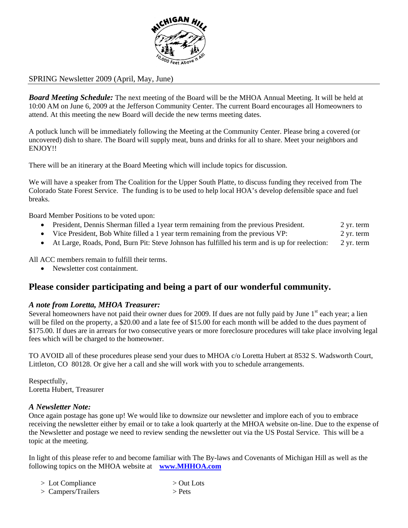

# SPRING Newsletter 2009 (April, May, June)

*Board Meeting Schedule:* The next meeting of the Board will be the MHOA Annual Meeting. It will be held at 10:00 AM on June 6, 2009 at the Jefferson Community Center. The current Board encourages all Homeowners to attend. At this meeting the new Board will decide the new terms meeting dates.

A potluck lunch will be immediately following the Meeting at the Community Center. Please bring a covered (or uncovered) dish to share. The Board will supply meat, buns and drinks for all to share. Meet your neighbors and ENJOY!!

There will be an itinerary at the Board Meeting which will include topics for discussion.

We will have a speaker from The Coalition for the Upper South Platte, to discuss funding they received from The Colorado State Forest Service. The funding is to be used to help local HOA's develop defensible space and fuel breaks.

Board Member Positions to be voted upon:

- President, Dennis Sherman filled a 1year term remaining from the previous President. 2 yr. term
- Vice President, Bob White filled a 1 year term remaining from the previous VP: 2 yr. term
- At Large, Roads, Pond, Burn Pit: Steve Johnson has fulfilled his term and is up for reelection: 2 yr. term

All ACC members remain to fulfill their terms.

• Newsletter cost containment.

# **Please consider participating and being a part of our wonderful community.**

### *A note from Loretta, MHOA Treasurer:*

Several homeowners have not paid their owner dues for 2009. If dues are not fully paid by June  $1<sup>st</sup>$  each year; a lien will be filed on the property, a \$20.00 and a late fee of \$15.00 for each month will be added to the dues payment of \$175.00. If dues are in arrears for two consecutive years or more foreclosure procedures will take place involving legal fees which will be charged to the homeowner.

TO AVOID all of these procedures please send your dues to MHOA c/o Loretta Hubert at 8532 S. Wadsworth Court, Littleton, CO 80128. Or give her a call and she will work with you to schedule arrangements.

Respectfully, Loretta Hubert, Treasurer

### *A Newsletter Note:*

Once again postage has gone up! We would like to downsize our newsletter and implore each of you to embrace receiving the newsletter either by email or to take a look quarterly at the MHOA website on-line. Due to the expense of the Newsletter and postage we need to review sending the newsletter out via the US Postal Service. This will be a topic at the meeting.

In light of this please refer to and become familiar with The By-laws and Covenants of Michigan Hill as well as the following topics on the MHOA website at **www.MHHOA.com** 

| $>$ Lot Compliance   | $>$ Out Lots |
|----------------------|--------------|
| $>$ Campers/Trailers | $>$ Pets     |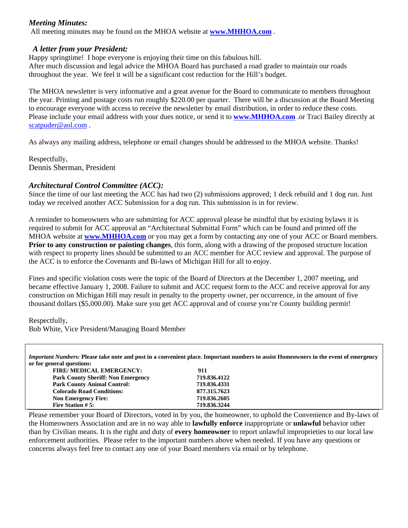## *Meeting Minutes:*

All meeting minutes may be found on the MHOA website at **www.MHHOA.com** .

#### *A letter from your President:*

Happy springtime! I hope everyone is enjoying their time on this fabulous hill.

After much discussion and legal advice the MHOA Board has purchased a road grader to maintain our roads throughout the year. We feel it will be a significant cost reduction for the Hill's budget.

The MHOA newsletter is very informative and a great avenue for the Board to communicate to members throughout the year. Printing and postage costs run roughly \$220.00 per quarter. There will be a discussion at the Board Meeting to encourage everyone with access to receive the newsletter by email distribution, in order to reduce these costs. Please include your email address with your dues notice, or send it to **www.MHHOA.com** .or Traci Bailey directly at scatpuder@aol.com.

As always any mailing address, telephone or email changes should be addressed to the MHOA website. Thanks!

Respectfully, Dennis Sherman, President

## *Architectural Control Committee (ACC):*

Since the time of our last meeting the ACC has had two (2) submissions approved; 1 deck rebuild and 1 dog run. Just today we received another ACC Submission for a dog run. This submission is in for review.

A reminder to homeowners who are submitting for ACC approval please be mindful that by existing bylaws it is required to submit for ACC approval an "Architectural Submittal Form" which can be found and printed off the MHOA website at **www.MHHOA.com** or you may get a form by contacting any one of your ACC or Board members. **Prior to any construction or painting changes**, this form, along with a drawing of the proposed structure location with respect to property lines should be submitted to an ACC member for ACC review and approval. The purpose of the ACC is to enforce the Covenants and Bi-laws of Michigan Hill for all to enjoy.

Fines and specific violation costs were the topic of the Board of Directors at the December 1, 2007 meeting, and became effective January 1, 2008. Failure to submit and ACC request form to the ACC and receive approval for any construction on Michigan Hill may result in penalty to the property owner, per occurrence, in the amount of five thousand dollars (\$5,000.00). Make sure you get ACC approval and of course you're County building permit!

Respectfully,

Bob White, Vice President/Managing Board Member

*Important Numbers:* **Please take note and post in a convenient place. Important numbers to assist Homeowners in the event of emergency or for general questions:** 

| <b>FIRE/ MEDICAL EMERGENCY:</b>           | 911          |
|-------------------------------------------|--------------|
| <b>Park County Sheriff: Non Emergency</b> | 719.836.4122 |
| <b>Park County Animal Control:</b>        | 719.836.4331 |
| <b>Colorado Road Conditions:</b>          | 877.315.7623 |
| <b>Non Emergency Fire:</b>                | 719.836.2605 |
| <b>Fire Station #5:</b>                   | 719.836.3244 |

Please remember your Board of Directors, voted in by you, the homeowner, to uphold the Convenience and By-laws of the Homeowners Association and are in no way able to **lawfully enforce** inappropriate or **unlawful** behavior other than by Civilian means. It is the right and duty of **every homeowner** to report unlawful improprieties to our local law enforcement authorities. Please refer to the important numbers above when needed. If you have any questions or concerns always feel free to contact any one of your Board members via email or by telephone.